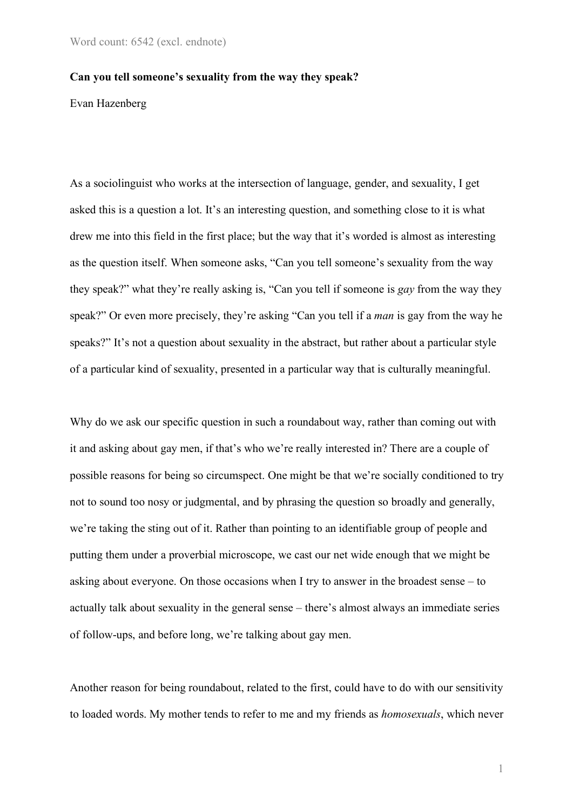#### **Can you tell someone's sexuality from the way they speak?**

Evan Hazenberg

As a sociolinguist who works at the intersection of language, gender, and sexuality, I get asked this is a question a lot. It's an interesting question, and something close to it is what drew me into this field in the first place; but the way that it's worded is almost as interesting as the question itself. When someone asks, "Can you tell someone's sexuality from the way they speak?" what they're really asking is, "Can you tell if someone is *gay* from the way they speak?" Or even more precisely, they're asking "Can you tell if a *man* is gay from the way he speaks?" It's not a question about sexuality in the abstract, but rather about a particular style of a particular kind of sexuality, presented in a particular way that is culturally meaningful.

Why do we ask our specific question in such a roundabout way, rather than coming out with it and asking about gay men, if that's who we're really interested in? There are a couple of possible reasons for being so circumspect. One might be that we're socially conditioned to try not to sound too nosy or judgmental, and by phrasing the question so broadly and generally, we're taking the sting out of it. Rather than pointing to an identifiable group of people and putting them under a proverbial microscope, we cast our net wide enough that we might be asking about everyone. On those occasions when I try to answer in the broadest sense – to actually talk about sexuality in the general sense – there's almost always an immediate series of follow-ups, and before long, we're talking about gay men.

Another reason for being roundabout, related to the first, could have to do with our sensitivity to loaded words. My mother tends to refer to me and my friends as *homosexuals*, which never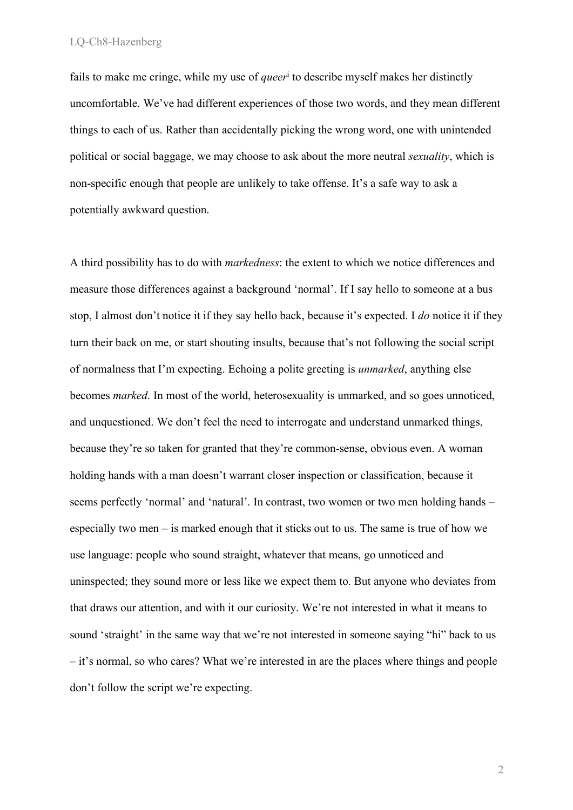fails to make me cringe, while my use of *queer*<sup>i</sup> to describe myself makes her distinctly uncomfortable. We've had different experiences of those two words, and they mean different things to each of us. Rather than accidentally picking the wrong word, one with unintended political or social baggage, we may choose to ask about the more neutral *sexuality*, which is non-specific enough that people are unlikely to take offense. It's a safe way to ask a potentially awkward question.

A third possibility has to do with *markedness*: the extent to which we notice differences and measure those differences against a background 'normal'. If I say hello to someone at a bus stop, I almost don't notice it if they say hello back, because it's expected. I *do* notice it if they turn their back on me, or start shouting insults, because that's not following the social script of normalness that I'm expecting. Echoing a polite greeting is *unmarked*, anything else becomes *marked*. In most of the world, heterosexuality is unmarked, and so goes unnoticed, and unquestioned. We don't feel the need to interrogate and understand unmarked things, because they're so taken for granted that they're common-sense, obvious even. A woman holding hands with a man doesn't warrant closer inspection or classification, because it seems perfectly 'normal' and 'natural'. In contrast, two women or two men holding hands – especially two men – is marked enough that it sticks out to us. The same is true of how we use language: people who sound straight, whatever that means, go unnoticed and uninspected; they sound more or less like we expect them to. But anyone who deviates from that draws our attention, and with it our curiosity. We're not interested in what it means to sound 'straight' in the same way that we're not interested in someone saying "hi" back to us – it's normal, so who cares? What we're interested in are the places where things and people don't follow the script we're expecting.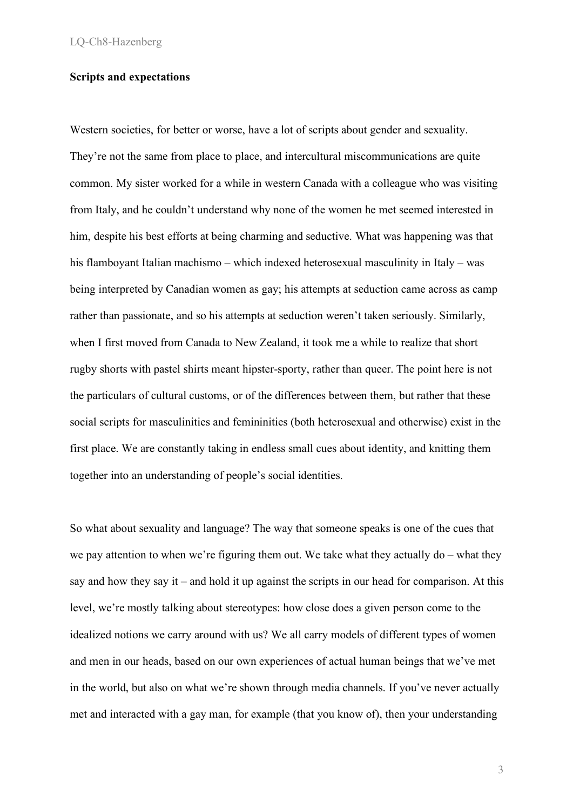# **Scripts and expectations**

Western societies, for better or worse, have a lot of scripts about gender and sexuality. They're not the same from place to place, and intercultural miscommunications are quite common. My sister worked for a while in western Canada with a colleague who was visiting from Italy, and he couldn't understand why none of the women he met seemed interested in him, despite his best efforts at being charming and seductive. What was happening was that his flamboyant Italian machismo – which indexed heterosexual masculinity in Italy – was being interpreted by Canadian women as gay; his attempts at seduction came across as camp rather than passionate, and so his attempts at seduction weren't taken seriously. Similarly, when I first moved from Canada to New Zealand, it took me a while to realize that short rugby shorts with pastel shirts meant hipster-sporty, rather than queer. The point here is not the particulars of cultural customs, or of the differences between them, but rather that these social scripts for masculinities and femininities (both heterosexual and otherwise) exist in the first place. We are constantly taking in endless small cues about identity, and knitting them together into an understanding of people's social identities.

So what about sexuality and language? The way that someone speaks is one of the cues that we pay attention to when we're figuring them out. We take what they actually do – what they say and how they say it – and hold it up against the scripts in our head for comparison. At this level, we're mostly talking about stereotypes: how close does a given person come to the idealized notions we carry around with us? We all carry models of different types of women and men in our heads, based on our own experiences of actual human beings that we've met in the world, but also on what we're shown through media channels. If you've never actually met and interacted with a gay man, for example (that you know of), then your understanding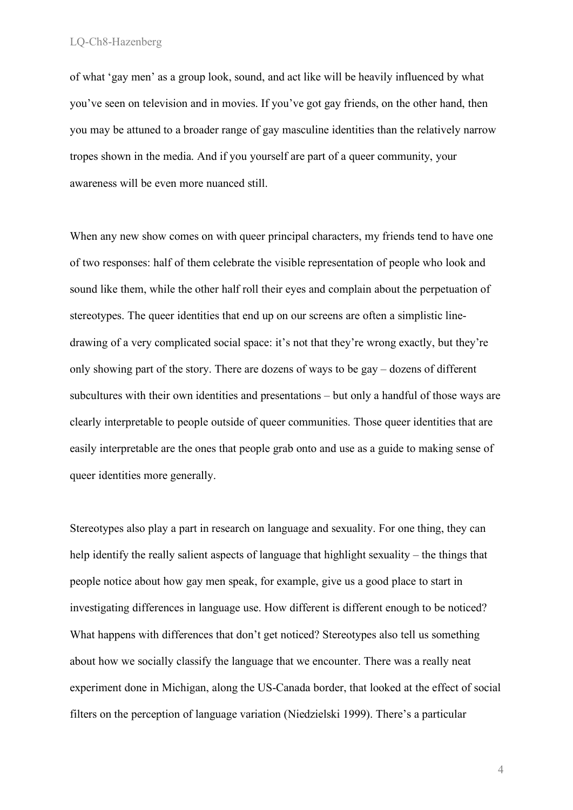of what 'gay men' as a group look, sound, and act like will be heavily influenced by what you've seen on television and in movies. If you've got gay friends, on the other hand, then you may be attuned to a broader range of gay masculine identities than the relatively narrow tropes shown in the media. And if you yourself are part of a queer community, your awareness will be even more nuanced still.

When any new show comes on with queer principal characters, my friends tend to have one of two responses: half of them celebrate the visible representation of people who look and sound like them, while the other half roll their eyes and complain about the perpetuation of stereotypes. The queer identities that end up on our screens are often a simplistic linedrawing of a very complicated social space: it's not that they're wrong exactly, but they're only showing part of the story. There are dozens of ways to be gay – dozens of different subcultures with their own identities and presentations – but only a handful of those ways are clearly interpretable to people outside of queer communities. Those queer identities that are easily interpretable are the ones that people grab onto and use as a guide to making sense of queer identities more generally.

Stereotypes also play a part in research on language and sexuality. For one thing, they can help identify the really salient aspects of language that highlight sexuality – the things that people notice about how gay men speak, for example, give us a good place to start in investigating differences in language use. How different is different enough to be noticed? What happens with differences that don't get noticed? Stereotypes also tell us something about how we socially classify the language that we encounter. There was a really neat experiment done in Michigan, along the US-Canada border, that looked at the effect of social filters on the perception of language variation (Niedzielski 1999). There's a particular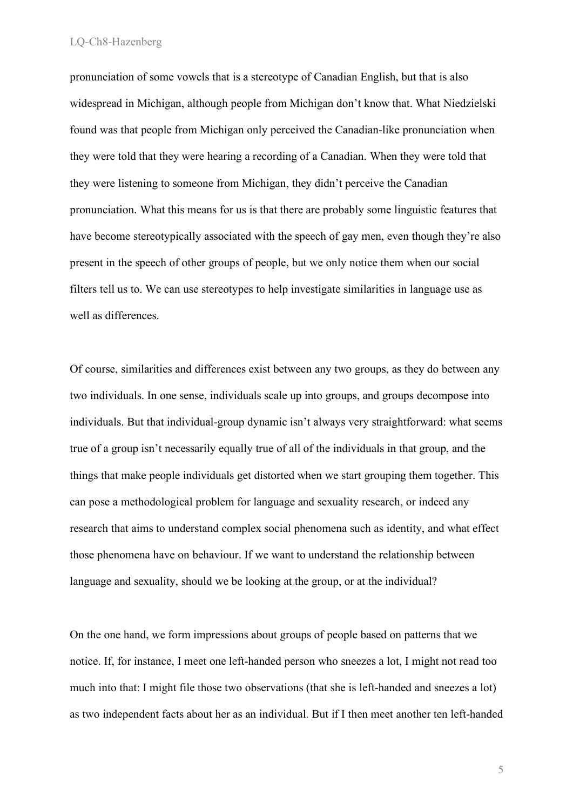pronunciation of some vowels that is a stereotype of Canadian English, but that is also widespread in Michigan, although people from Michigan don't know that. What Niedzielski found was that people from Michigan only perceived the Canadian-like pronunciation when they were told that they were hearing a recording of a Canadian. When they were told that they were listening to someone from Michigan, they didn't perceive the Canadian pronunciation. What this means for us is that there are probably some linguistic features that have become stereotypically associated with the speech of gay men, even though they're also present in the speech of other groups of people, but we only notice them when our social filters tell us to. We can use stereotypes to help investigate similarities in language use as well as differences.

Of course, similarities and differences exist between any two groups, as they do between any two individuals. In one sense, individuals scale up into groups, and groups decompose into individuals. But that individual-group dynamic isn't always very straightforward: what seems true of a group isn't necessarily equally true of all of the individuals in that group, and the things that make people individuals get distorted when we start grouping them together. This can pose a methodological problem for language and sexuality research, or indeed any research that aims to understand complex social phenomena such as identity, and what effect those phenomena have on behaviour. If we want to understand the relationship between language and sexuality, should we be looking at the group, or at the individual?

On the one hand, we form impressions about groups of people based on patterns that we notice. If, for instance, I meet one left-handed person who sneezes a lot, I might not read too much into that: I might file those two observations (that she is left-handed and sneezes a lot) as two independent facts about her as an individual. But if I then meet another ten left-handed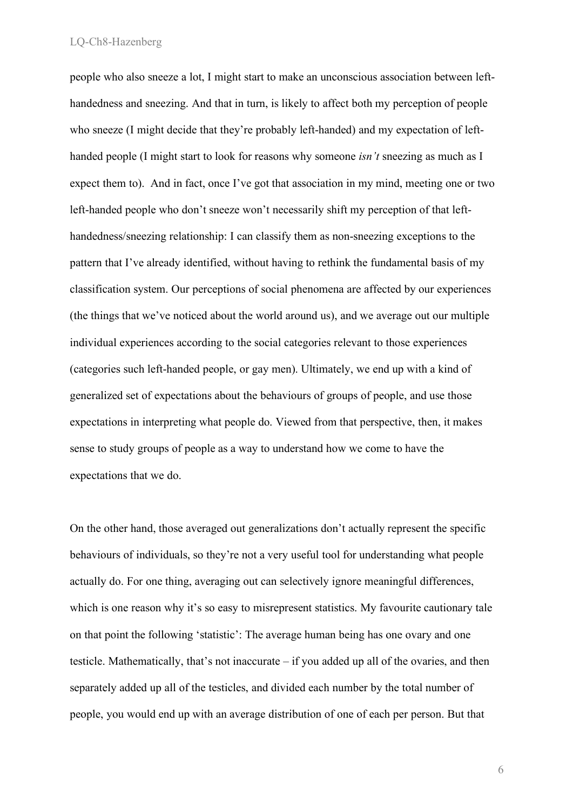people who also sneeze a lot, I might start to make an unconscious association between lefthandedness and sneezing. And that in turn, is likely to affect both my perception of people who sneeze (I might decide that they're probably left-handed) and my expectation of lefthanded people (I might start to look for reasons why someone *isn't* sneezing as much as I expect them to). And in fact, once I've got that association in my mind, meeting one or two left-handed people who don't sneeze won't necessarily shift my perception of that lefthandedness/sneezing relationship: I can classify them as non-sneezing exceptions to the pattern that I've already identified, without having to rethink the fundamental basis of my classification system. Our perceptions of social phenomena are affected by our experiences (the things that we've noticed about the world around us), and we average out our multiple individual experiences according to the social categories relevant to those experiences (categories such left-handed people, or gay men). Ultimately, we end up with a kind of generalized set of expectations about the behaviours of groups of people, and use those expectations in interpreting what people do. Viewed from that perspective, then, it makes sense to study groups of people as a way to understand how we come to have the expectations that we do.

On the other hand, those averaged out generalizations don't actually represent the specific behaviours of individuals, so they're not a very useful tool for understanding what people actually do. For one thing, averaging out can selectively ignore meaningful differences, which is one reason why it's so easy to misrepresent statistics. My favourite cautionary tale on that point the following 'statistic': The average human being has one ovary and one testicle. Mathematically, that's not inaccurate – if you added up all of the ovaries, and then separately added up all of the testicles, and divided each number by the total number of people, you would end up with an average distribution of one of each per person. But that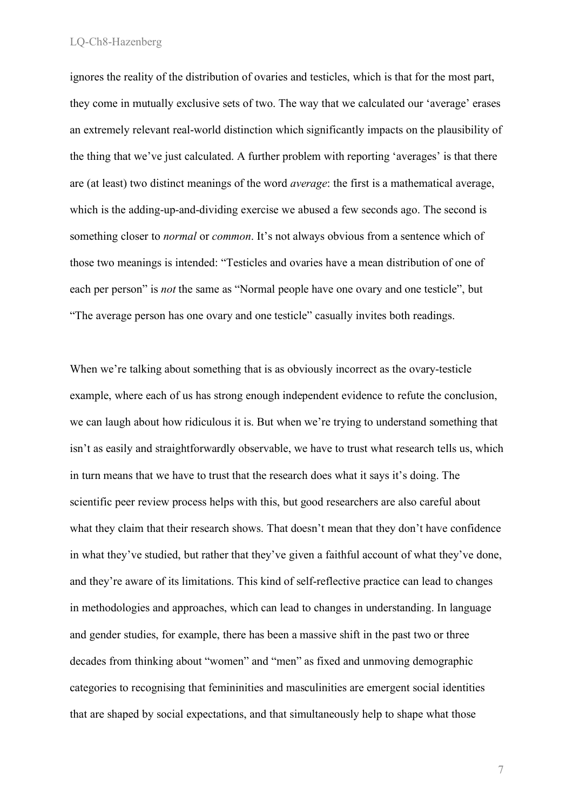ignores the reality of the distribution of ovaries and testicles, which is that for the most part, they come in mutually exclusive sets of two. The way that we calculated our 'average' erases an extremely relevant real-world distinction which significantly impacts on the plausibility of the thing that we've just calculated. A further problem with reporting 'averages' is that there are (at least) two distinct meanings of the word *average*: the first is a mathematical average, which is the adding-up-and-dividing exercise we abused a few seconds ago. The second is something closer to *normal* or *common*. It's not always obvious from a sentence which of those two meanings is intended: "Testicles and ovaries have a mean distribution of one of each per person" is *not* the same as "Normal people have one ovary and one testicle", but "The average person has one ovary and one testicle" casually invites both readings.

When we're talking about something that is as obviously incorrect as the ovary-testicle example, where each of us has strong enough independent evidence to refute the conclusion, we can laugh about how ridiculous it is. But when we're trying to understand something that isn't as easily and straightforwardly observable, we have to trust what research tells us, which in turn means that we have to trust that the research does what it says it's doing. The scientific peer review process helps with this, but good researchers are also careful about what they claim that their research shows. That doesn't mean that they don't have confidence in what they've studied, but rather that they've given a faithful account of what they've done, and they're aware of its limitations. This kind of self-reflective practice can lead to changes in methodologies and approaches, which can lead to changes in understanding. In language and gender studies, for example, there has been a massive shift in the past two or three decades from thinking about "women" and "men" as fixed and unmoving demographic categories to recognising that femininities and masculinities are emergent social identities that are shaped by social expectations, and that simultaneously help to shape what those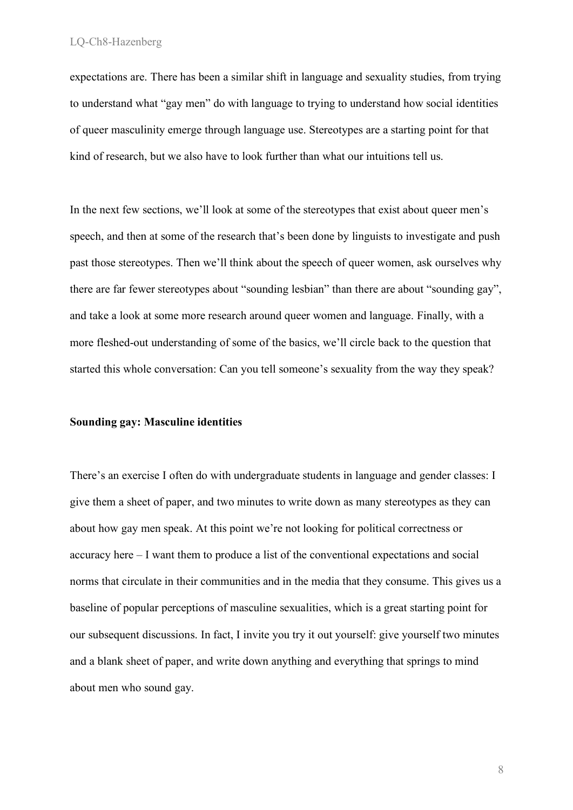expectations are. There has been a similar shift in language and sexuality studies, from trying to understand what "gay men" do with language to trying to understand how social identities of queer masculinity emerge through language use. Stereotypes are a starting point for that kind of research, but we also have to look further than what our intuitions tell us.

In the next few sections, we'll look at some of the stereotypes that exist about queer men's speech, and then at some of the research that's been done by linguists to investigate and push past those stereotypes. Then we'll think about the speech of queer women, ask ourselves why there are far fewer stereotypes about "sounding lesbian" than there are about "sounding gay", and take a look at some more research around queer women and language. Finally, with a more fleshed-out understanding of some of the basics, we'll circle back to the question that started this whole conversation: Can you tell someone's sexuality from the way they speak?

#### **Sounding gay: Masculine identities**

There's an exercise I often do with undergraduate students in language and gender classes: I give them a sheet of paper, and two minutes to write down as many stereotypes as they can about how gay men speak. At this point we're not looking for political correctness or accuracy here – I want them to produce a list of the conventional expectations and social norms that circulate in their communities and in the media that they consume. This gives us a baseline of popular perceptions of masculine sexualities, which is a great starting point for our subsequent discussions. In fact, I invite you try it out yourself: give yourself two minutes and a blank sheet of paper, and write down anything and everything that springs to mind about men who sound gay.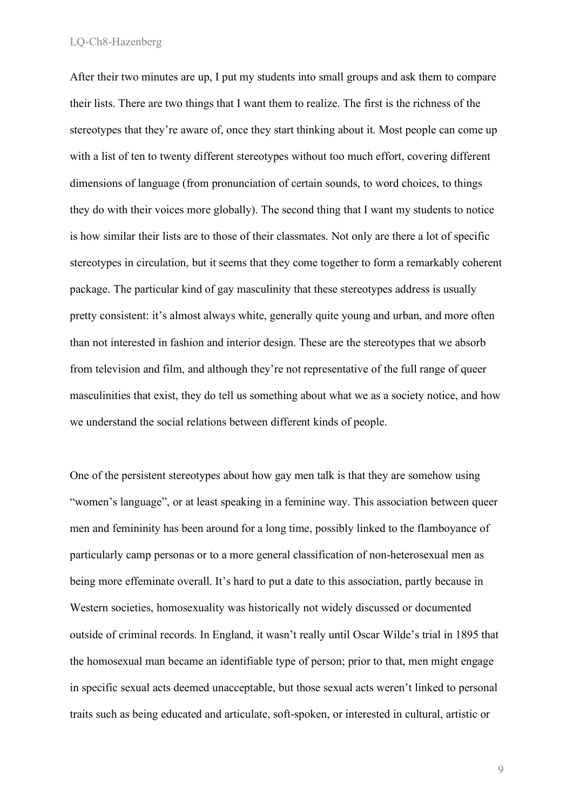After their two minutes are up, I put my students into small groups and ask them to compare their lists. There are two things that I want them to realize. The first is the richness of the stereotypes that they're aware of, once they start thinking about it. Most people can come up with a list of ten to twenty different stereotypes without too much effort, covering different dimensions of language (from pronunciation of certain sounds, to word choices, to things they do with their voices more globally). The second thing that I want my students to notice is how similar their lists are to those of their classmates. Not only are there a lot of specific stereotypes in circulation, but it seems that they come together to form a remarkably coherent package. The particular kind of gay masculinity that these stereotypes address is usually pretty consistent: it's almost always white, generally quite young and urban, and more often than not interested in fashion and interior design. These are the stereotypes that we absorb from television and film, and although they're not representative of the full range of queer masculinities that exist, they do tell us something about what we as a society notice, and how we understand the social relations between different kinds of people.

One of the persistent stereotypes about how gay men talk is that they are somehow using "women's language", or at least speaking in a feminine way. This association between queer men and femininity has been around for a long time, possibly linked to the flamboyance of particularly camp personas or to a more general classification of non-heterosexual men as being more effeminate overall. It's hard to put a date to this association, partly because in Western societies, homosexuality was historically not widely discussed or documented outside of criminal records. In England, it wasn't really until Oscar Wilde's trial in 1895 that the homosexual man became an identifiable type of person; prior to that, men might engage in specific sexual acts deemed unacceptable, but those sexual acts weren't linked to personal traits such as being educated and articulate, soft-spoken, or interested in cultural, artistic or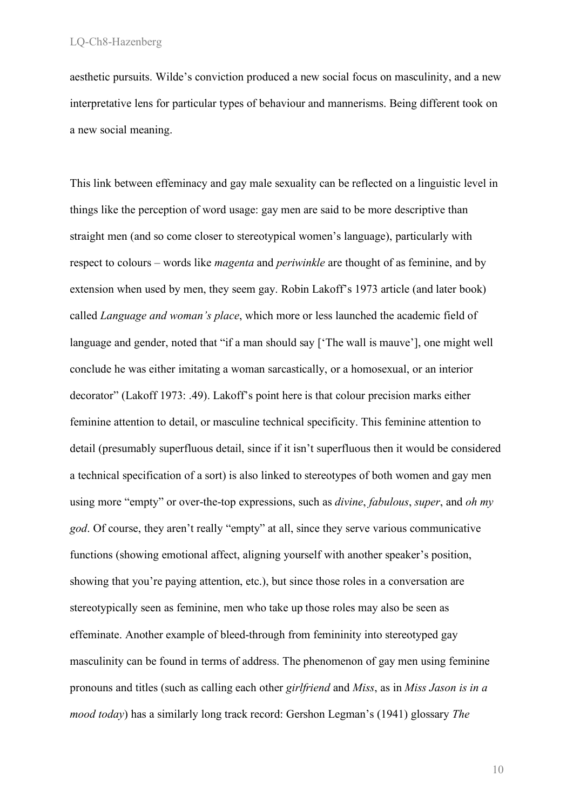aesthetic pursuits. Wilde's conviction produced a new social focus on masculinity, and a new interpretative lens for particular types of behaviour and mannerisms. Being different took on a new social meaning.

This link between effeminacy and gay male sexuality can be reflected on a linguistic level in things like the perception of word usage: gay men are said to be more descriptive than straight men (and so come closer to stereotypical women's language), particularly with respect to colours – words like *magenta* and *periwinkle* are thought of as feminine, and by extension when used by men, they seem gay. Robin Lakoff's 1973 article (and later book) called *Language and woman's place*, which more or less launched the academic field of language and gender, noted that "if a man should say ['The wall is mauve'], one might well conclude he was either imitating a woman sarcastically, or a homosexual, or an interior decorator" (Lakoff 1973: .49). Lakoff's point here is that colour precision marks either feminine attention to detail, or masculine technical specificity. This feminine attention to detail (presumably superfluous detail, since if it isn't superfluous then it would be considered a technical specification of a sort) is also linked to stereotypes of both women and gay men using more "empty" or over-the-top expressions, such as *divine*, *fabulous*, *super*, and *oh my god*. Of course, they aren't really "empty" at all, since they serve various communicative functions (showing emotional affect, aligning yourself with another speaker's position, showing that you're paying attention, etc.), but since those roles in a conversation are stereotypically seen as feminine, men who take up those roles may also be seen as effeminate. Another example of bleed-through from femininity into stereotyped gay masculinity can be found in terms of address. The phenomenon of gay men using feminine pronouns and titles (such as calling each other *girlfriend* and *Miss*, as in *Miss Jason is in a mood today*) has a similarly long track record: Gershon Legman's (1941) glossary *The*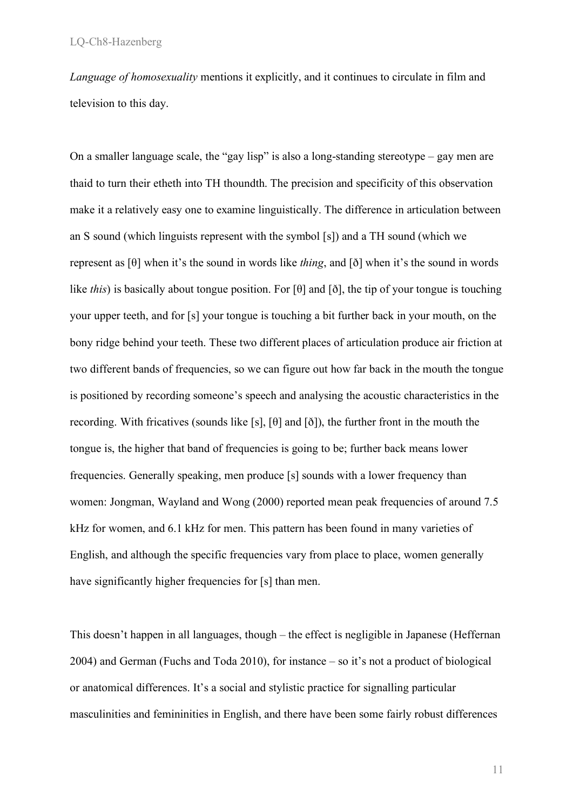*Language of homosexuality* mentions it explicitly, and it continues to circulate in film and television to this day.

On a smaller language scale, the "gay lisp" is also a long-standing stereotype – gay men are thaid to turn their etheth into TH thoundth. The precision and specificity of this observation make it a relatively easy one to examine linguistically. The difference in articulation between an S sound (which linguists represent with the symbol [s]) and a TH sound (which we represent as [θ] when it's the sound in words like *thing*, and [ð] when it's the sound in words like *this*) is basically about tongue position. For [θ] and [ð], the tip of your tongue is touching your upper teeth, and for [s] your tongue is touching a bit further back in your mouth, on the bony ridge behind your teeth. These two different places of articulation produce air friction at two different bands of frequencies, so we can figure out how far back in the mouth the tongue is positioned by recording someone's speech and analysing the acoustic characteristics in the recording. With fricatives (sounds like [s], [θ] and [ð]), the further front in the mouth the tongue is, the higher that band of frequencies is going to be; further back means lower frequencies. Generally speaking, men produce [s] sounds with a lower frequency than women: Jongman, Wayland and Wong (2000) reported mean peak frequencies of around 7.5 kHz for women, and 6.1 kHz for men. This pattern has been found in many varieties of English, and although the specific frequencies vary from place to place, women generally have significantly higher frequencies for [s] than men.

This doesn't happen in all languages, though – the effect is negligible in Japanese (Heffernan 2004) and German (Fuchs and Toda 2010), for instance – so it's not a product of biological or anatomical differences. It's a social and stylistic practice for signalling particular masculinities and femininities in English, and there have been some fairly robust differences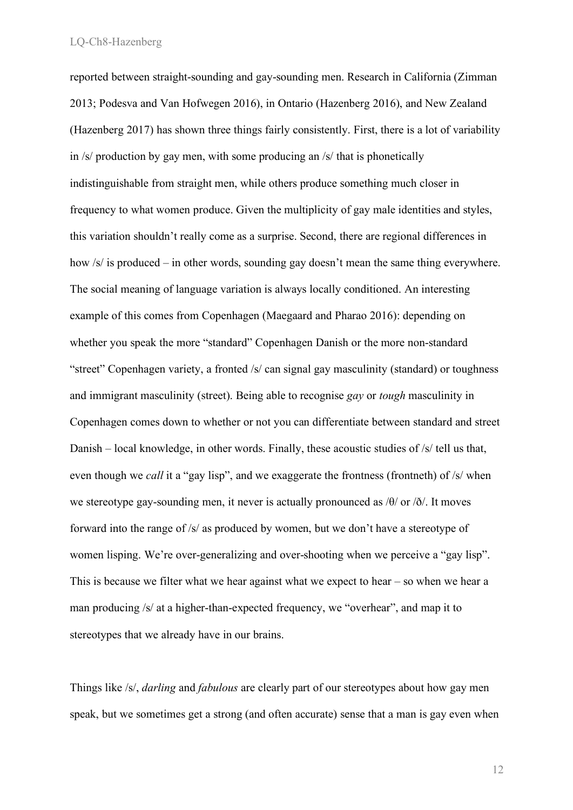reported between straight-sounding and gay-sounding men. Research in California (Zimman 2013; Podesva and Van Hofwegen 2016), in Ontario (Hazenberg 2016), and New Zealand (Hazenberg 2017) has shown three things fairly consistently. First, there is a lot of variability in /s/ production by gay men, with some producing an /s/ that is phonetically indistinguishable from straight men, while others produce something much closer in frequency to what women produce. Given the multiplicity of gay male identities and styles, this variation shouldn't really come as a surprise. Second, there are regional differences in how /s/ is produced – in other words, sounding gay doesn't mean the same thing everywhere. The social meaning of language variation is always locally conditioned. An interesting example of this comes from Copenhagen (Maegaard and Pharao 2016): depending on whether you speak the more "standard" Copenhagen Danish or the more non-standard "street" Copenhagen variety, a fronted /s/ can signal gay masculinity (standard) or toughness and immigrant masculinity (street). Being able to recognise *gay* or *tough* masculinity in Copenhagen comes down to whether or not you can differentiate between standard and street Danish – local knowledge, in other words. Finally, these acoustic studies of /s/ tell us that, even though we *call* it a "gay lisp", and we exaggerate the frontness (frontneth) of /s/ when we stereotype gay-sounding men, it never is actually pronounced as  $\theta$  or  $\delta$ . It moves forward into the range of /s/ as produced by women, but we don't have a stereotype of women lisping. We're over-generalizing and over-shooting when we perceive a "gay lisp". This is because we filter what we hear against what we expect to hear  $-$  so when we hear a man producing /s/ at a higher-than-expected frequency, we "overhear", and map it to stereotypes that we already have in our brains.

Things like /s/, *darling* and *fabulous* are clearly part of our stereotypes about how gay men speak, but we sometimes get a strong (and often accurate) sense that a man is gay even when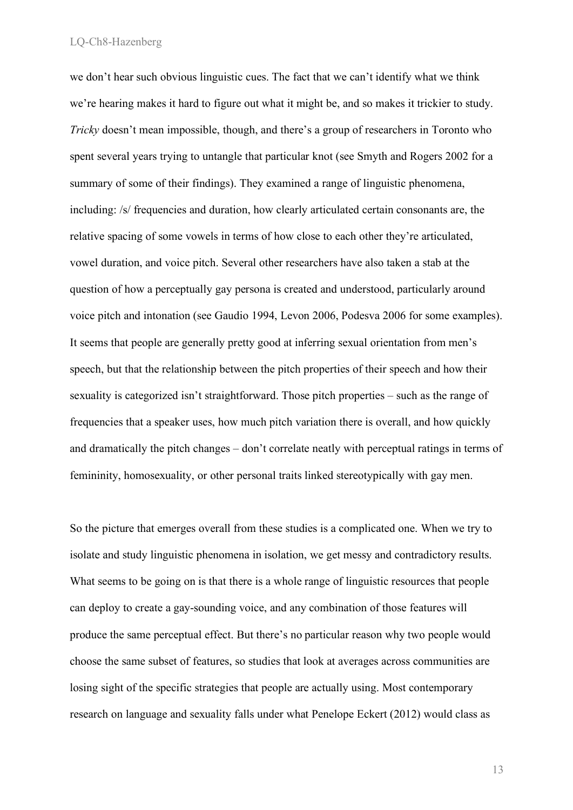we don't hear such obvious linguistic cues. The fact that we can't identify what we think we're hearing makes it hard to figure out what it might be, and so makes it trickier to study. *Tricky* doesn't mean impossible, though, and there's a group of researchers in Toronto who spent several years trying to untangle that particular knot (see Smyth and Rogers 2002 for a summary of some of their findings). They examined a range of linguistic phenomena, including: /s/ frequencies and duration, how clearly articulated certain consonants are, the relative spacing of some vowels in terms of how close to each other they're articulated, vowel duration, and voice pitch. Several other researchers have also taken a stab at the question of how a perceptually gay persona is created and understood, particularly around voice pitch and intonation (see Gaudio 1994, Levon 2006, Podesva 2006 for some examples). It seems that people are generally pretty good at inferring sexual orientation from men's speech, but that the relationship between the pitch properties of their speech and how their sexuality is categorized isn't straightforward. Those pitch properties – such as the range of frequencies that a speaker uses, how much pitch variation there is overall, and how quickly and dramatically the pitch changes – don't correlate neatly with perceptual ratings in terms of femininity, homosexuality, or other personal traits linked stereotypically with gay men.

So the picture that emerges overall from these studies is a complicated one. When we try to isolate and study linguistic phenomena in isolation, we get messy and contradictory results. What seems to be going on is that there is a whole range of linguistic resources that people can deploy to create a gay-sounding voice, and any combination of those features will produce the same perceptual effect. But there's no particular reason why two people would choose the same subset of features, so studies that look at averages across communities are losing sight of the specific strategies that people are actually using. Most contemporary research on language and sexuality falls under what Penelope Eckert (2012) would class as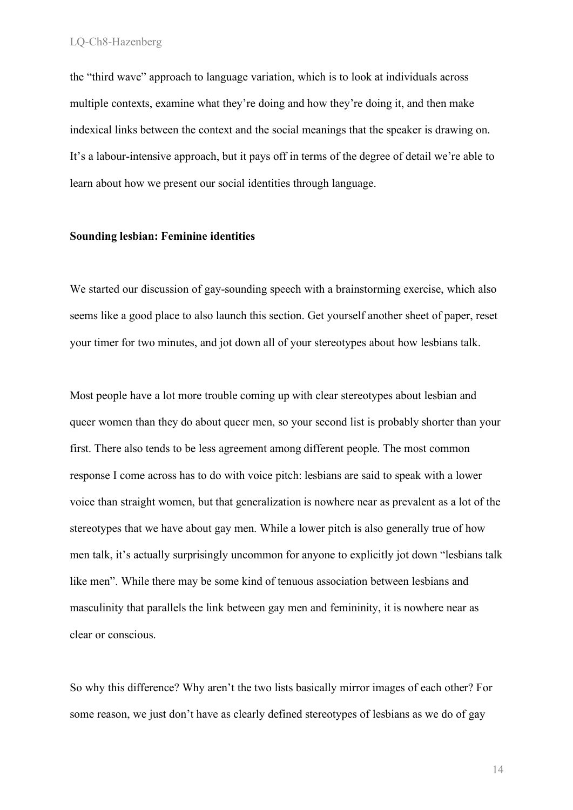the "third wave" approach to language variation, which is to look at individuals across multiple contexts, examine what they're doing and how they're doing it, and then make indexical links between the context and the social meanings that the speaker is drawing on. It's a labour-intensive approach, but it pays off in terms of the degree of detail we're able to learn about how we present our social identities through language.

# **Sounding lesbian: Feminine identities**

We started our discussion of gay-sounding speech with a brainstorming exercise, which also seems like a good place to also launch this section. Get yourself another sheet of paper, reset your timer for two minutes, and jot down all of your stereotypes about how lesbians talk.

Most people have a lot more trouble coming up with clear stereotypes about lesbian and queer women than they do about queer men, so your second list is probably shorter than your first. There also tends to be less agreement among different people. The most common response I come across has to do with voice pitch: lesbians are said to speak with a lower voice than straight women, but that generalization is nowhere near as prevalent as a lot of the stereotypes that we have about gay men. While a lower pitch is also generally true of how men talk, it's actually surprisingly uncommon for anyone to explicitly jot down "lesbians talk like men". While there may be some kind of tenuous association between lesbians and masculinity that parallels the link between gay men and femininity, it is nowhere near as clear or conscious.

So why this difference? Why aren't the two lists basically mirror images of each other? For some reason, we just don't have as clearly defined stereotypes of lesbians as we do of gay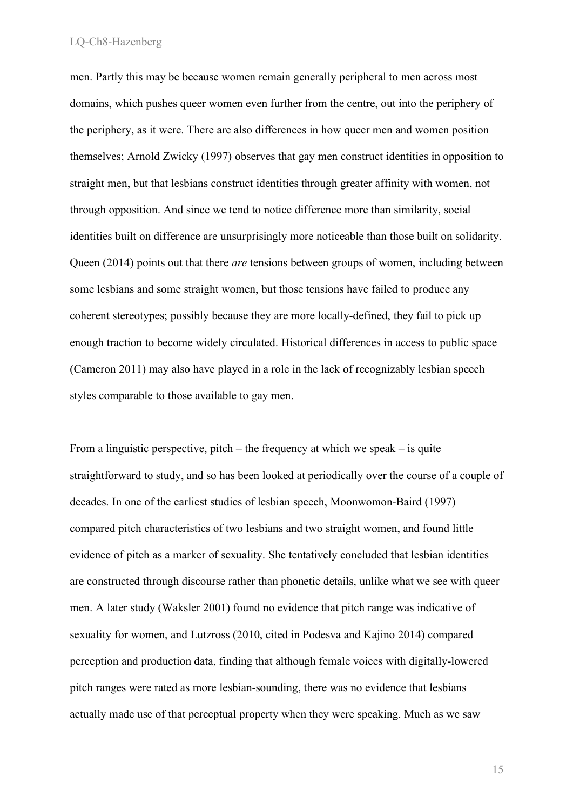men. Partly this may be because women remain generally peripheral to men across most domains, which pushes queer women even further from the centre, out into the periphery of the periphery, as it were. There are also differences in how queer men and women position themselves; Arnold Zwicky (1997) observes that gay men construct identities in opposition to straight men, but that lesbians construct identities through greater affinity with women, not through opposition. And since we tend to notice difference more than similarity, social identities built on difference are unsurprisingly more noticeable than those built on solidarity. Queen (2014) points out that there *are* tensions between groups of women, including between some lesbians and some straight women, but those tensions have failed to produce any coherent stereotypes; possibly because they are more locally-defined, they fail to pick up enough traction to become widely circulated. Historical differences in access to public space (Cameron 2011) may also have played in a role in the lack of recognizably lesbian speech styles comparable to those available to gay men.

From a linguistic perspective, pitch – the frequency at which we speak – is quite straightforward to study, and so has been looked at periodically over the course of a couple of decades. In one of the earliest studies of lesbian speech, Moonwomon-Baird (1997) compared pitch characteristics of two lesbians and two straight women, and found little evidence of pitch as a marker of sexuality. She tentatively concluded that lesbian identities are constructed through discourse rather than phonetic details, unlike what we see with queer men. A later study (Waksler 2001) found no evidence that pitch range was indicative of sexuality for women, and Lutzross (2010, cited in Podesva and Kajino 2014) compared perception and production data, finding that although female voices with digitally-lowered pitch ranges were rated as more lesbian-sounding, there was no evidence that lesbians actually made use of that perceptual property when they were speaking. Much as we saw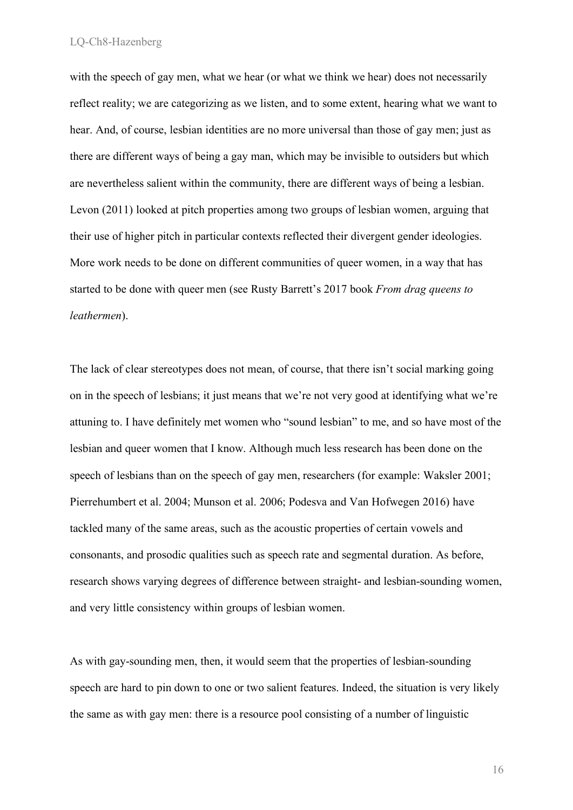with the speech of gay men, what we hear (or what we think we hear) does not necessarily reflect reality; we are categorizing as we listen, and to some extent, hearing what we want to hear. And, of course, lesbian identities are no more universal than those of gay men; just as there are different ways of being a gay man, which may be invisible to outsiders but which are nevertheless salient within the community, there are different ways of being a lesbian. Levon (2011) looked at pitch properties among two groups of lesbian women, arguing that their use of higher pitch in particular contexts reflected their divergent gender ideologies. More work needs to be done on different communities of queer women, in a way that has started to be done with queer men (see Rusty Barrett's 2017 book *From drag queens to leathermen*).

The lack of clear stereotypes does not mean, of course, that there isn't social marking going on in the speech of lesbians; it just means that we're not very good at identifying what we're attuning to. I have definitely met women who "sound lesbian" to me, and so have most of the lesbian and queer women that I know. Although much less research has been done on the speech of lesbians than on the speech of gay men, researchers (for example: Waksler 2001; Pierrehumbert et al. 2004; Munson et al. 2006; Podesva and Van Hofwegen 2016) have tackled many of the same areas, such as the acoustic properties of certain vowels and consonants, and prosodic qualities such as speech rate and segmental duration. As before, research shows varying degrees of difference between straight- and lesbian-sounding women, and very little consistency within groups of lesbian women.

As with gay-sounding men, then, it would seem that the properties of lesbian-sounding speech are hard to pin down to one or two salient features. Indeed, the situation is very likely the same as with gay men: there is a resource pool consisting of a number of linguistic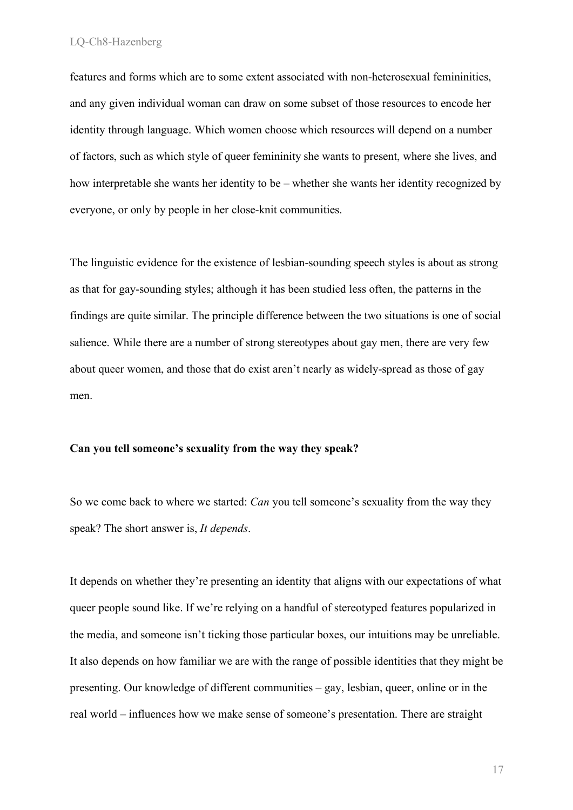features and forms which are to some extent associated with non-heterosexual femininities, and any given individual woman can draw on some subset of those resources to encode her identity through language. Which women choose which resources will depend on a number of factors, such as which style of queer femininity she wants to present, where she lives, and how interpretable she wants her identity to be – whether she wants her identity recognized by everyone, or only by people in her close-knit communities.

The linguistic evidence for the existence of lesbian-sounding speech styles is about as strong as that for gay-sounding styles; although it has been studied less often, the patterns in the findings are quite similar. The principle difference between the two situations is one of social salience. While there are a number of strong stereotypes about gay men, there are very few about queer women, and those that do exist aren't nearly as widely-spread as those of gay men.

# **Can you tell someone's sexuality from the way they speak?**

So we come back to where we started: *Can* you tell someone's sexuality from the way they speak? The short answer is, *It depends*.

It depends on whether they're presenting an identity that aligns with our expectations of what queer people sound like. If we're relying on a handful of stereotyped features popularized in the media, and someone isn't ticking those particular boxes, our intuitions may be unreliable. It also depends on how familiar we are with the range of possible identities that they might be presenting. Our knowledge of different communities – gay, lesbian, queer, online or in the real world – influences how we make sense of someone's presentation. There are straight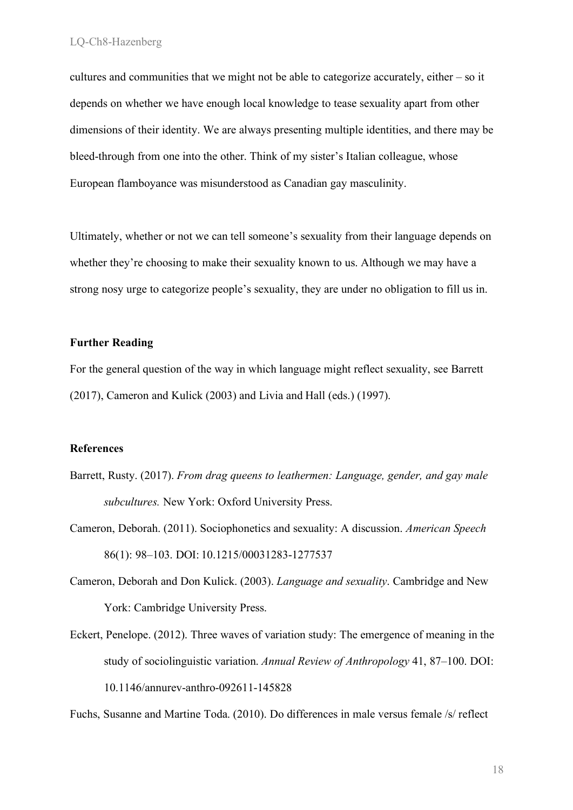cultures and communities that we might not be able to categorize accurately, either – so it depends on whether we have enough local knowledge to tease sexuality apart from other dimensions of their identity. We are always presenting multiple identities, and there may be bleed-through from one into the other. Think of my sister's Italian colleague, whose European flamboyance was misunderstood as Canadian gay masculinity.

Ultimately, whether or not we can tell someone's sexuality from their language depends on whether they're choosing to make their sexuality known to us. Although we may have a strong nosy urge to categorize people's sexuality, they are under no obligation to fill us in.

# **Further Reading**

For the general question of the way in which language might reflect sexuality, see Barrett (2017), Cameron and Kulick (2003) and Livia and Hall (eds.) (1997).

# **References**

- Barrett, Rusty. (2017). *From drag queens to leathermen: Language, gender, and gay male subcultures.* New York: Oxford University Press.
- Cameron, Deborah. (2011). Sociophonetics and sexuality: A discussion. *American Speech* 86(1): 98–103. DOI: 10.1215/00031283-1277537
- Cameron, Deborah and Don Kulick. (2003). *Language and sexuality*. Cambridge and New York: Cambridge University Press.
- Eckert, Penelope. (2012). Three waves of variation study: The emergence of meaning in the study of sociolinguistic variation. *Annual Review of Anthropology* 41, 87–100. DOI: 10.1146/annurev-anthro-092611-145828

Fuchs, Susanne and Martine Toda. (2010). Do differences in male versus female /s/ reflect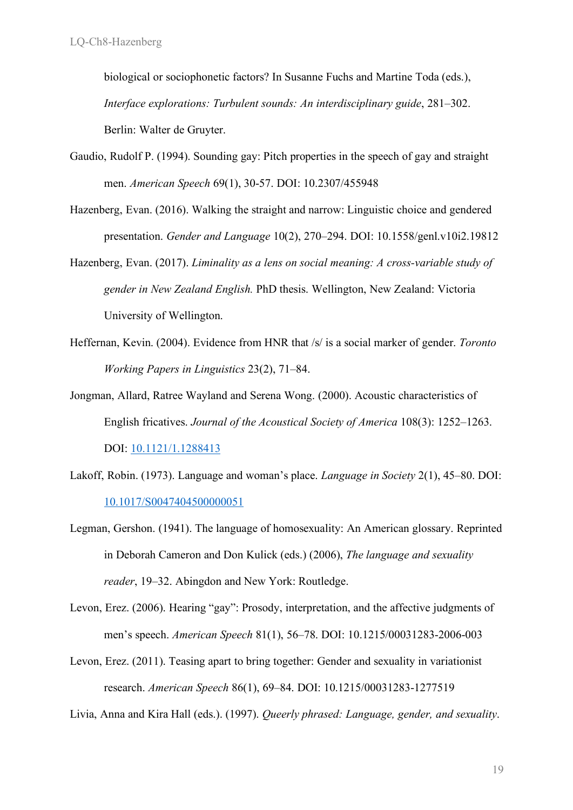biological or sociophonetic factors? In Susanne Fuchs and Martine Toda (eds.), *Interface explorations: Turbulent sounds: An interdisciplinary guide*, 281–302. Berlin: Walter de Gruyter.

- Gaudio, Rudolf P. (1994). Sounding gay: Pitch properties in the speech of gay and straight men. *American Speech* 69(1), 30-57. DOI: 10.2307/455948
- Hazenberg, Evan. (2016). Walking the straight and narrow: Linguistic choice and gendered presentation. *Gender and Language* 10(2), 270–294. DOI: 10.1558/genl.v10i2.19812
- Hazenberg, Evan. (2017). *Liminality as a lens on social meaning: A cross-variable study of gender in New Zealand English.* PhD thesis. Wellington, New Zealand: Victoria University of Wellington.
- Heffernan, Kevin. (2004). Evidence from HNR that /s/ is a social marker of gender. *Toronto Working Papers in Linguistics* 23(2), 71–84.
- Jongman, Allard, Ratree Wayland and Serena Wong. (2000). Acoustic characteristics of English fricatives. *Journal of the Acoustical Society of America* 108(3): 1252–1263. DOI: 10.1121/1.1288413
- Lakoff, Robin. (1973). Language and woman's place. *Language in Society* 2(1), 45–80. DOI: 10.1017/S0047404500000051
- Legman, Gershon. (1941). The language of homosexuality: An American glossary. Reprinted in Deborah Cameron and Don Kulick (eds.) (2006), *The language and sexuality reader*, 19–32. Abingdon and New York: Routledge.
- Levon, Erez. (2006). Hearing "gay": Prosody, interpretation, and the affective judgments of men's speech. *American Speech* 81(1), 56–78. DOI: 10.1215/00031283-2006-003
- Levon, Erez. (2011). Teasing apart to bring together: Gender and sexuality in variationist research. *American Speech* 86(1), 69–84. DOI: 10.1215/00031283-1277519
- Livia, Anna and Kira Hall (eds.). (1997). *Queerly phrased: Language, gender, and sexuality*.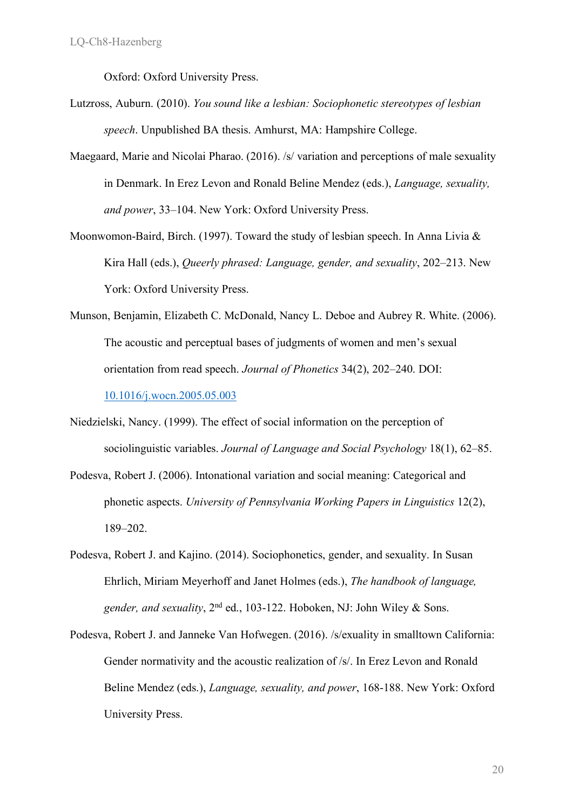Oxford: Oxford University Press.

- Lutzross, Auburn. (2010). *You sound like a lesbian: Sociophonetic stereotypes of lesbian speech*. Unpublished BA thesis. Amhurst, MA: Hampshire College.
- Maegaard, Marie and Nicolai Pharao. (2016). /s/ variation and perceptions of male sexuality in Denmark. In Erez Levon and Ronald Beline Mendez (eds.), *Language, sexuality, and power*, 33–104. New York: Oxford University Press.
- Moonwomon-Baird, Birch. (1997). Toward the study of lesbian speech. In Anna Livia & Kira Hall (eds.), *Queerly phrased: Language, gender, and sexuality*, 202–213. New York: Oxford University Press.
- Munson, Benjamin, Elizabeth C. McDonald, Nancy L. Deboe and Aubrey R. White. (2006). The acoustic and perceptual bases of judgments of women and men's sexual orientation from read speech. *Journal of Phonetics* 34(2), 202–240. DOI: 10.1016/j.wocn.2005.05.003
- Niedzielski, Nancy. (1999). The effect of social information on the perception of sociolinguistic variables. *Journal of Language and Social Psychology* 18(1), 62–85.
- Podesva, Robert J. (2006). Intonational variation and social meaning: Categorical and phonetic aspects. *University of Pennsylvania Working Papers in Linguistics* 12(2), 189–202.
- Podesva, Robert J. and Kajino. (2014). Sociophonetics, gender, and sexuality. In Susan Ehrlich, Miriam Meyerhoff and Janet Holmes (eds.), *The handbook of language, gender, and sexuality*, 2nd ed., 103-122. Hoboken, NJ: John Wiley & Sons.
- Podesva, Robert J. and Janneke Van Hofwegen. (2016). /s/exuality in smalltown California: Gender normativity and the acoustic realization of /s/. In Erez Levon and Ronald Beline Mendez (eds.), *Language, sexuality, and power*, 168-188. New York: Oxford University Press.